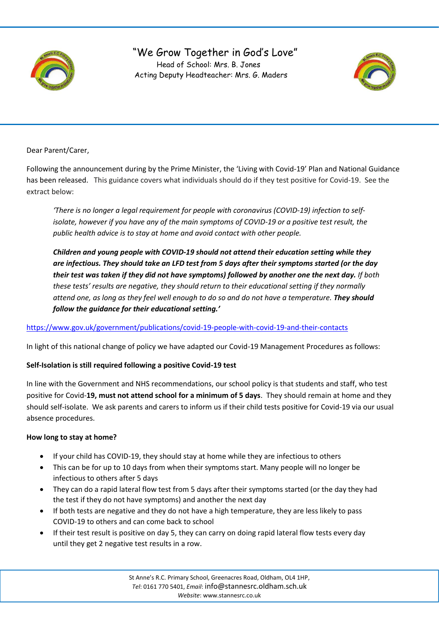

# "We Grow Together in God's Love" Head of School: Mrs. B. Jones Acting Deputy Headteacher: Mrs. G. Maders



Dear Parent/Carer,

Following the announcement during by the Prime Minister, the 'Living with Covid-19' Plan and National Guidance has been released. This guidance covers what individuals should do if they test positive for Covid-19. See the extract below:

*'There is no longer a legal requirement for people with coronavirus (COVID-19) infection to selfisolate, however if you have any of the main symptoms of COVID-19 or a positive test result, the public health advice is to stay at home and avoid contact with other people.*

*Children and young people with COVID-19 should not attend their education setting while they are infectious. They should take an LFD test from 5 days after their symptoms started (or the day* their test was taken if they did not have symptoms) followed by another one the next day. If both *these tests' results are negative, they should return to their educational setting if they normally* attend one, as long as they feel well enough to do so and do not have a temperature. They should *follow the guidance for their educational setting.'*

<https://www.gov.uk/government/publications/covid-19-people-with-covid-19-and-their-contacts>

In light of this national change of policy we have adapted our Covid-19 Management Procedures as follows:

### **Self-Isolation is still required following a positive Covid-19 test**

j

In line with the Government and NHS recommendations, our school policy is that students and staff, who test positive for Covid-**19, must not attend school for a minimum of 5 days**. They should remain at home and they should self-isolate. We ask parents and carers to inform us if their child tests positive for Covid-19 via our usual absence procedures.

#### **How long to stay at home?**

- If your child has COVID-19, they should stay at home while they are infectious to others
- This can be for up to 10 days from when their symptoms start. Many people will no longer be infectious to others after 5 days
- They can do a rapid lateral flow test from 5 days after their symptoms started (or the day they had the test if they do not have symptoms) and another the next day
- If both tests are negative and they do not have a high temperature, they are less likely to pass COVID-19 to others and can come back to school
- If their test result is positive on day 5, they can carry on doing rapid lateral flow tests every day until they get 2 negative test results in a row.